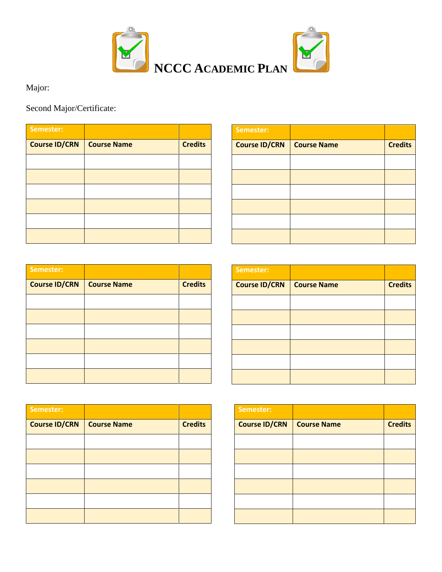

Major:

Second Major/Certificate:

| Semester:            |                    |                |
|----------------------|--------------------|----------------|
| <b>Course ID/CRN</b> | <b>Course Name</b> | <b>Credits</b> |
|                      |                    |                |
|                      |                    |                |
|                      |                    |                |
|                      |                    |                |
|                      |                    |                |
|                      |                    |                |

| Semester:            |                    |                |
|----------------------|--------------------|----------------|
| <b>Course ID/CRN</b> | <b>Course Name</b> | <b>Credits</b> |
|                      |                    |                |
|                      |                    |                |
|                      |                    |                |
|                      |                    |                |
|                      |                    |                |
|                      |                    |                |

| Semester:            |                    |                |
|----------------------|--------------------|----------------|
| <b>Course ID/CRN</b> | <b>Course Name</b> | <b>Credits</b> |
|                      |                    |                |
|                      |                    |                |
|                      |                    |                |
|                      |                    |                |
|                      |                    |                |
|                      |                    |                |

| Semester:     |                    |                |
|---------------|--------------------|----------------|
| Course ID/CRN | <b>Course Name</b> | <b>Credits</b> |
|               |                    |                |
|               |                    |                |
|               |                    |                |
|               |                    |                |
|               |                    |                |
|               |                    |                |

| Semester:            |                    |                |
|----------------------|--------------------|----------------|
| <b>Course ID/CRN</b> | <b>Course Name</b> | <b>Credits</b> |
|                      |                    |                |
|                      |                    |                |
|                      |                    |                |
|                      |                    |                |
|                      |                    |                |
|                      |                    |                |

| Semester:            |                    |                |
|----------------------|--------------------|----------------|
| <b>Course ID/CRN</b> | <b>Course Name</b> | <b>Credits</b> |
|                      |                    |                |
|                      |                    |                |
|                      |                    |                |
|                      |                    |                |
|                      |                    |                |
|                      |                    |                |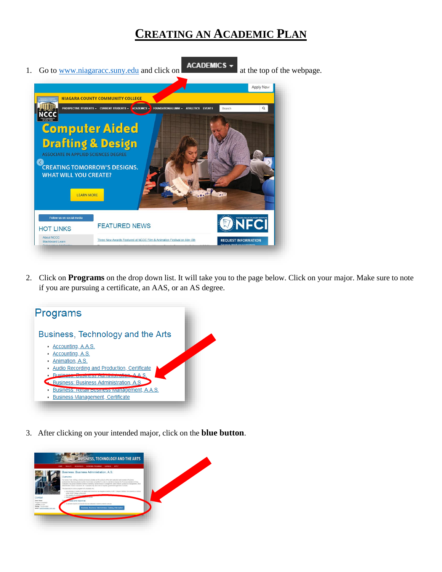## **CREATING AN ACADEMIC PLAN**



2. Click on **Programs** on the drop down list. It will take you to the page below. Click on your major. Make sure to note if you are pursuing a certificate, an AAS, or an AS degree.



3. After clicking on your intended major, click on the **blue button**.